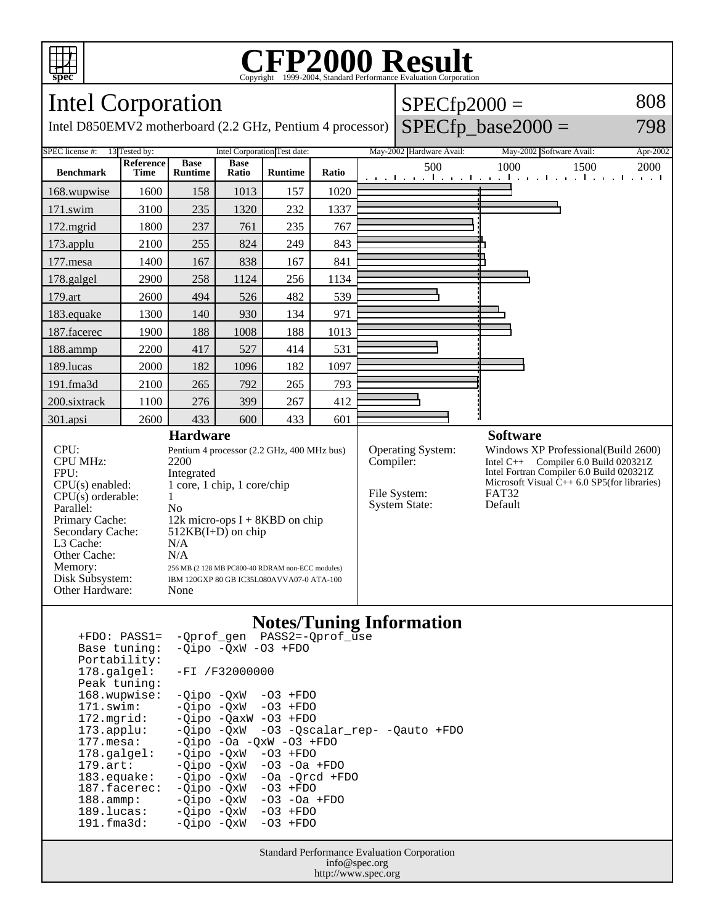

### **CFP2000 Result** Copyright ©1999-2004, Standard P

#### Intel Corporation Intel D850EMV2 motherboard (2.2 GHz, Pentium 4 processor)  $SPECfp2000 =$  $SPECfp\_base2000 =$ 808 798 SPEC license #: 13 Tested by: Intel Corporation Test date: May-2002 Hardware Avail: May-2002 Software Avail: Apr-2002 **Benchmark Reference Time Base Runtime Base Ratio Runtime Ratio** 500 1000 1500 2000 168.wupwise 1600 158 1013 157 1020 171.swim | 3100 | 235 | 1320 | 232 | 1337 172.mgrid | 1800 | 237 | 761 | 235 | 767 173.applu | 2100 | 255 | 824 | 249 | 843 177. mesa | 1400 | 167 | 838 | 167 | 841 178.galgel | 2900 | 258 | 1124 | 256 | 1134 179.art | 2600 | 494 | 526 | 482 | 539 183.equake 1300 140 930 134 971 187.facerec | 1900 | 188 | 1008 | 188 | 1013 188.ammp | 2200 | 417 | 527 | 414 | 531 189.lucas | 2000 | 182 | 1096 | 182 | 1097 191.fma3d 2100 265 792 265 793 200.sixtrack 1100 276 399 267 412 301.apsi 2600 433 600 433 601 **Hardware** CPU: Pentium 4 processor (2.2 GHz, 400 MHz bus) CPU MHz: 2200 FPU: Integrated<br>CPU(s) enabled: 1 core, 1 c  $1$  core,  $1$  chip,  $1$  core/chip  $CPU(s)$  orderable:  $1$ Parallel: No<br>Primary Cache: 12k 12k micro-ops  $I + 8KBD$  on chip Secondary Cache: 512KB(I+D) on chip L3 Cache: N/A<br>Other Cache: N/A Other Cache:<br>Memory: 256 MB (2 128 MB PC800-40 RDRAM non-ECC modules) Disk Subsystem: IBM 120GXP 80 GB IC35L080AVVA07-0 ATA-100 Other Hardware: None **Software** Operating System: Windows XP Professional(Build 2600)<br>Compiler: Intel C++ Compiler 6.0 Build 020321Z Intel  $C_{++}$  Compiler 6.0 Build 020321Z Intel Fortran Compiler 6.0 Build 020321Z Microsoft Visual  $\hat{C}_{++}$  6.0 SP5(for libraries)<br>FAT32 File System: FAT32<br>System State: Default System State:

### **Notes/Tuning Information**

| $+FDO: PASS1=$         | -Oprof gen PASS2=-Oprof use              |
|------------------------|------------------------------------------|
| Base tuning:           | $-Oipo$ $-OxW$ $-O3$ $+FDO$              |
| Portability:           |                                          |
| $178.\mathtt{qalqel}:$ | $-FI / F32000000$                        |
| Peak tuning:           |                                          |
| 168.wupwise:           | $-Oipo -OXW -O3 + FDO$                   |
| $171$ .swim:           | $-Oipo -OXW - O3 + FDO$                  |
| 172.mqrid:             | $-Oipo -OaxW -O3 + FDO$                  |
| $173.appendu$ :        | -Qipo -QxW -O3 -Qscalar rep- -Qauto +FDO |
| $177.\text{mesa}$ :    | $-Qipo$ -Oa -QxW -O3 +FDO                |
| $178.\text{qalgel}$ :  | $-0i$ po $-0xW$ $-03$ $+FDO$             |
| $179.\text{art}$ :     | $-Oipo$ $-OxW$ $-O3$ $-Oa$ $+FDO$        |
| $183$ . equake:        | $-Oipo$ $-OxW$ $-Oa$ $-Orcd$ $+FDO$      |
| 187.facerec:           | -Oipo -OxW<br>$-03$ +FDO                 |
| $188.\text{ammp}:$     | -Oipo -OxW<br>-03 -0a +FD0               |
| 189.lucas:             | $-Oipo -QxW -O3 + FDO$                   |
| 191.fma3d:             | $-03$ +FDO<br>-Oipo -OxW                 |
|                        |                                          |

Standard Performance Evaluation Corporation info@spec.org http://www.spec.org